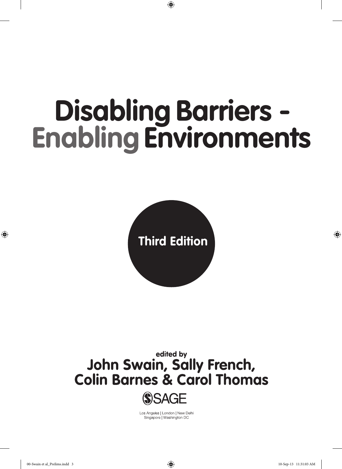# **Disabling Barriers - Enabling Environments**

 $\bigoplus$ 



**John Swain, Sally French, Colin Barnes & Carol Thomas** 

### **SSAGE**

Los Angeles | London | New Delhi Singapore | Washington DC

⊕

◈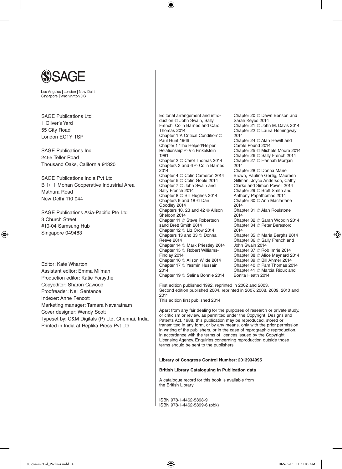

Los Angeles | London | New Delhi Singapore | Washington DC

SAGE Publications Ltd 1 Oliver's Yard 55 City Road London EC1Y 1SP

SAGE Publications Inc. 2455 Teller Road Thousand Oaks, California 91320

SAGE Publications India Pvt Ltd B 1/I 1 Mohan Cooperative Industrial Area Mathura Road New Delhi 110 044

SAGE Publications Asia-Pacific Pte Ltd 3 Church Street #10-04 Samsung Hub Singapore 049483

♠

Editor: Kate Wharton Assistant editor: Emma Milman Production editor: Katie Forsythe Copyeditor: Sharon Cawood Proofreader: Neil Sentance Indexer: Anne Fencott Marketing manager: Tamara Navaratnam Cover designer: Wendy Scott Typeset by: C&M Digitals (P) Ltd, Chennai, India Printed in India at Replika Press Pvt Ltd

Editorial arrangement and introduction © John Swain, Sally French, Colin Barnes and Carol Thomas 2014 Chapter 1 'A Critical Condition' © Paul Hunt 1966 Chapter 1 'The Helped/Helper Relationship' © Vic Finkelstein 1981 Chapter 2 © Carol Thomas 2014 Chapters 3 and 6 © Colin Barnes 2014 Chapter 4 © Colin Cameron 2014 Chapter 5 © Colin Goble 2014 Chapter 7 @ John Swain and Sally French 2014 Chapter 8 © Bill Hughes 2014 Chapters 9 and 18  $\overset{\sim}{\odot}$  Dan Goodley 2014 Chapters 10, 23 and 42  $\circ$  Alison Sheldon 2014 Chapter 11 © Steve Robertson sand Brett Smith 2014 Chapter 12 © Liz Crow 2014 Chapters 13 and 33 © Donna Reeve 2014 Chapter 14 © Mark Priestley 2014 Chapter 15 © Robert Williams-Findlay 2014 Chapter 16 © Alison Wilde 2014 Chapter 17 © Yasmin Hussain 2014 Chapter 19 © Selina Bonnie 2014

⊕

First edition published 1992, reprinted in 2002 and 2003. Second edition published 2004, reprinted in 2007, 2008, 2009, 2010 and 2011. This edition first published 2014

Chapter 20 © Dawn Benson and

Chapter 21 © John M. Davis 2014 Chapter 22 © Laura Hemingway

Chapter 25 © Michele Moore 2014 Chapter 26 © Sally French 2014 Chapter 27 © Hannah Morgan

Chapter 24  $$\odot$  Alan Hewitt and$ Carole Pound 2014

Chapter 28 © Donna Marie Brown, Pauline Gertig, Maureen Gillman, Joyce Anderson, Cathy Clarke and Simon Powell 2014 Chapter 29 © Brett Smith and Anthony Papathomas 2014 Chapter 30 © Ann Macfarlane

Chapter 31 © Alan Roulstone

Chapter 32 @ Sarah Woodin 2014 Chapter 34 © Peter Beresford

Chapter 35 @ Maria Berghs 2014 Chapter 36 © Sally French and

⊕

Chapter 37 © Rob Imrie 2014 Chapter 38 © Alice Maynard 2014 Chapter 39 @ Bill Ahmer 2014 Chapter 40 © Pam Thomas 2014 Chapter 41  $\odot$  Marcia Rioux and

Sarah Keyes 2014

2014

2014

2014

2014

2014

John Swain 2014

Bonita Heath 2014

Apart from any fair dealing for the purposes of research or private study, or criticism or review, as permitted under the Copyright, Designs and Patents Act, 1988, this publication may be reproduced, stored or transmitted in any form, or by any means, only with the prior permission in writing of the publishers, or in the case of reprographic reproduction, in accordance with the terms of licences issued by the Copyright Licensing Agency. Enquiries concerning reproduction outside those terms should be sent to the publishers.

#### **Library of Congress Control Number: 2013934995**

#### **British Library Cataloguing in Publication data**

A catalogue record for this book is available from the British Library

ISBN 978-1-4462-5898-9 ISBN 978-1-4462-5899-6 (pbk)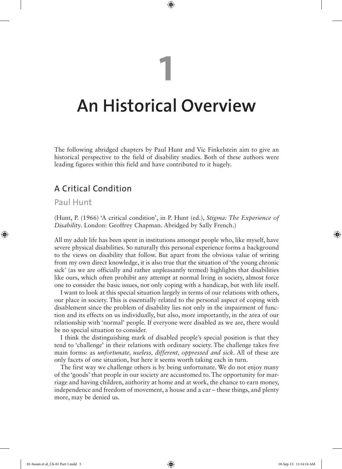## **An Historical Overview**

**1**

⊕

The following abridged chapters by Paul Hunt and Vic Finkelstein aim to give an historical perspective to the field of disability studies. Both of these authors were leading figures within this field and have contributed to it hugely.

#### A Critical Condition

Paul Hunt

⊕

(Hunt, P. (1966) 'A critical condition', in P. Hunt (ed.), *Stigma: The Experience of Disability*. London: Geoffrey Chapman. Abridged by Sally French.)

All my adult life has been spent in institutions amongst people who, like myself, have severe physical disabilities. So naturally this personal experience forms a background to the views on disability that follow. But apart from the obvious value of writing from my own direct knowledge, it is also true that the situation of 'the young chronic sick' (as we are officially and rather unpleasantly termed) highlights that disabilities like ours, which often prohibit any attempt at normal living in society, almost force one to consider the basic issues, not only coping with a handicap, but with life itself.

I want to look at this special situation largely in terms of our relations with others, our place in society. This is essentially related to the personal aspect of coping with disablement since the problem of disability lies not only in the impairment of function and its effects on us individually, but also, more importantly, in the area of our relationship with 'normal' people. If everyone were disabled as we are, there would be no special situation to consider.

I think the distinguishing mark of disabled people's special position is that they tend to 'challenge' in their relations with ordinary society. The challenge takes five main forms: as *unfortunate, useless, different, oppressed and sick*. All of these are only facets of one situation, but here it seems worth taking each in turn.

The first way we challenge others is by being unfortunate. We do not enjoy many of the 'goods' that people in our society are accustomed to. The opportunity for marriage and having children, authority at home and at work, the chance to earn money, independence and freedom of movement, a house and a car – these things, and plenty more, may be denied us.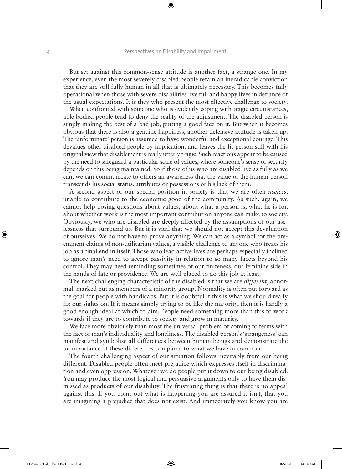⊕

But set against this common-sense attitude is another fact, a strange one. In my experience, even the most severely disabled people retain an ineradicable conviction that they are still fully human in all that is ultimately necessary. This becomes fully operational when those with severe disabilities live full and happy lives in defiance of the usual expectations. It is they who present the most effective challenge to society.

When confronted with someone who is evidently coping with tragic circumstances, able-bodied people tend to deny the reality of the adjustment. The disabled person is simply making the best of a bad job, putting a good face on it. But when it becomes obvious that there is also a genuine happiness, another defensive attitude is taken up. The 'unfortunate' person is assumed to have wonderful and exceptional courage. This devalues other disabled people by implication, and leaves the fit person still with his original view that disablement is really utterly tragic. Such reactions appear to be caused by the need to safeguard a particular scale of values, where someone's sense of security depends on this being maintained. So if those of us who are disabled live as fully as we can, we can communicate to others an awareness that the value of the human person transcends his social status, attributes or possessions or his lack of them.

A second aspect of our special position in society is that we are often *useless*, unable to contribute to the economic good of the community. As such, again, we cannot help posing questions about values, about what a person is, what he is for, about whether work is the most important contribution anyone can make to society. Obviously, we who are disabled are deeply affected by the assumptions of our uselessness that surround us. But it is vital that we should not accept this devaluation of ourselves. We do not have to prove anything. We can act as a symbol for the preeminent claims of non-utilitarian values, a visible challenge to anyone who treats his job as a final end in itself. Those who lead active lives are perhaps especially inclined to ignore man's need to accept passivity in relation to so many facets beyond his control. They may need reminding sometimes of our finiteness, our feminine side in the hands of fate or providence. We are well placed to do this job at least.

The next challenging characteristic of the disabled is that we are *different*, abnormal, marked out as members of a minority group. Normality is often put forward as the goal for people with handicaps. But it is doubtful if this is what we should really fix our sights on. If it means simply trying to be like the majority, then it is hardly a good enough ideal at which to aim. People need something more than this to work towards if they are to contribute to society and grow in maturity.

We face more obviously than most the universal problem of coming to terms with the fact of man's individuality and loneliness. The disabled person's 'strangeness' can manifest and symbolise all differences between human beings and demonstrate the unimportance of these differences compared to what we have in common.

The fourth challenging aspect of our situation follows inevitably from our being different. Disabled people often meet prejudice which expresses itself in discrimination and even oppression. Whatever we do people put it down to our being disabled. You may produce the most logical and persuasive arguments only to have them dismissed as products of our disability. The frustrating thing is that there is no appeal against this. If you point out what is happening you are assured it isn't, that you are imagining a prejudice that does not exist. And immediately you know you are

⊕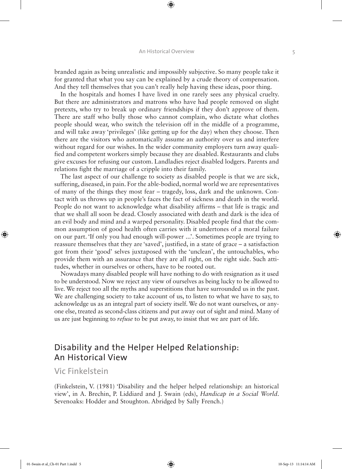#### An Historical Overview 5

⊕

branded again as being unrealistic and impossibly subjective. So many people take it for granted that what you say can be explained by a crude theory of compensation. And they tell themselves that you can't really help having these ideas, poor thing.

In the hospitals and homes I have lived in one rarely sees any physical cruelty. But there are administrators and matrons who have had people removed on slight pretexts, who try to break up ordinary friendships if they don't approve of them. There are staff who bully those who cannot complain, who dictate what clothes people should wear, who switch the television off in the middle of a programme, and will take away 'privileges' (like getting up for the day) when they choose. Then there are the visitors who automatically assume an authority over us and interfere without regard for our wishes. In the wider community employers turn away qualified and competent workers simply because they are disabled. Restaurants and clubs give excuses for refusing our custom. Landladies reject disabled lodgers. Parents and relations fight the marriage of a cripple into their family.

The last aspect of our challenge to society as disabled people is that we are sick, suffering, diseased, in pain. For the able-bodied, normal world we are representatives of many of the things they most fear – tragedy, loss, dark and the unknown. Contact with us throws up in people's faces the fact of sickness and death in the world. People do not want to acknowledge what disability affirms – that life is tragic and that we shall all soon be dead. Closely associated with death and dark is the idea of an evil body and mind and a warped personality. Disabled people find that the common assumption of good health often carries with it undertones of a moral failure on our part. 'If only you had enough will-power ...'. Sometimes people are trying to reassure themselves that they are 'saved', justified, in a state of grace – a satisfaction got from their 'good' selves juxtaposed with the 'unclean', the untouchables, who provide them with an assurance that they are all right, on the right side. Such attitudes, whether in ourselves or others, have to be rooted out.

Nowadays many disabled people will have nothing to do with resignation as it used to be understood. Now we reject any view of ourselves as being lucky to be allowed to live. We reject too all the myths and superstitions that have surrounded us in the past. We are challenging society to take account of us, to listen to what we have to say, to acknowledge us as an integral part of society itself. We do not want ourselves, or anyone else, treated as second-class citizens and put away out of sight and mind. Many of us are just beginning to *refuse* to be put away, to insist that we are part of life.

#### Disability and the Helper Helped Relationship: An Historical View

Vic Finkelstein

(Finkelstein, V. (1981) 'Disability and the helper helped relationship: an historical view', in A. Brechin, P. Liddiard and J. Swain (eds), *Handicap in a Social World*. Sevenoaks: Hodder and Stoughton. Abridged by Sally French.)

⊕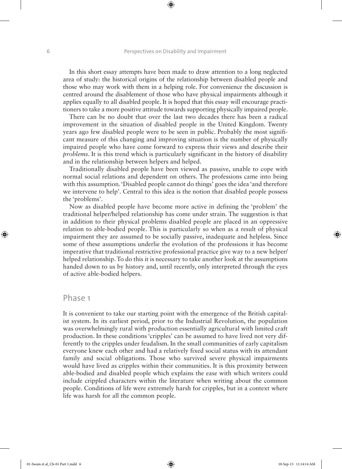⊕

In this short essay attempts have been made to draw attention to a long neglected area of study: the historical origins of the relationship between disabled people and those who may work with them in a helping role. For convenience the discussion is centred around the disablement of those who have physical impairments although it applies equally to all disabled people. It is hoped that this essay will encourage practitioners to take a more positive attitude towards supporting physically impaired people.

There can be no doubt that over the last two decades there has been a radical improvement in the situation of disabled people in the United Kingdom. Twenty years ago few disabled people were to be seen in public. Probably the most significant measure of this changing and improving situation is the number of physically impaired people who have come forward to express their views and describe their *problems*. It is this trend which is particularly significant in the history of disability and in the relationship between helpers and helped.

Traditionally disabled people have been viewed as passive, unable to cope with normal social relations and dependent on others. The professions came into being with this assumption. 'Disabled people cannot do things' goes the idea 'and therefore we intervene to help'. Central to this idea is the notion that disabled people possess the 'problems'.

Now as disabled people have become more active in defining the 'problem' the traditional helper/helped relationship has come under strain. The suggestion is that in addition to their physical problems disabled people are placed in an oppressive relation to able-bodied people. This is particularly so when as a result of physical impairment they are assumed to be socially passive, inadequate and helpless. Since some of these assumptions underlie the evolution of the professions it has become imperative that traditional restrictive professional practice give way to a new helper/ helped relationship. To do this it is necessary to take another look at the assumptions handed down to us by history and, until recently, only interpreted through the eyes of active able-bodied helpers.

#### Phase 1

It is convenient to take our starting point with the emergence of the British capitalist system. In its earliest period, prior to the Industrial Revolution, the population was overwhelmingly rural with production essentially agricultural with limited craft production. In these conditions 'cripples' can be assumed to have lived not very differently to the cripples under feudalism. In the small communities of early capitalism everyone knew each other and had a relatively fixed social status with its attendant family and social obligations. Those who survived severe physical impairments would have lived as cripples within their communities. It is this proximity between able-bodied and disabled people which explains the ease with which writers could include crippled characters within the literature when writing about the common people. Conditions of life were extremely harsh for cripples, but in a context where life was harsh for all the common people.

⊕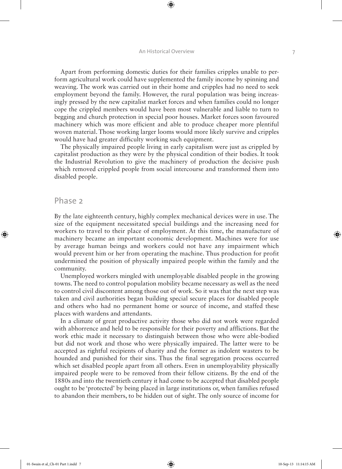#### An Historical Overview 7

⊕

Apart from performing domestic duties for their families cripples unable to perform agricultural work could have supplemented the family income by spinning and weaving. The work was carried out in their home and cripples had no need to seek employment beyond the family. However, the rural population was being increasingly pressed by the new capitalist market forces and when families could no longer cope the crippled members would have been most vulnerable and liable to turn to begging and church protection in special poor houses. Market forces soon favoured machinery which was more efficient and able to produce cheaper more plentiful woven material. Those working larger looms would more likely survive and cripples would have had greater difficulty working such equipment.

The physically impaired people living in early capitalism were just as crippled by capitalist production as they were by the physical condition of their bodies. It took the Industrial Revolution to give the machinery of production the decisive push which removed crippled people from social intercourse and transformed them into disabled people.

#### Phase 2

⊕

By the late eighteenth century, highly complex mechanical devices were in use. The size of the equipment necessitated special buildings and the increasing need for workers to travel to their place of employment. At this time, the manufacture of machinery became an important economic development. Machines were for use by average human beings and workers could not have any impairment which would prevent him or her from operating the machine. Thus production for profit undermined the position of physically impaired people within the family and the community.

Unemployed workers mingled with unemployable disabled people in the growing towns. The need to control population mobility became necessary as well as the need to control civil discontent among those out of work. So it was that the next step was taken and civil authorities began building special secure places for disabled people and others who had no permanent home or source of income, and staffed these places with wardens and attendants.

In a climate of great productive activity those who did not work were regarded with abhorrence and held to be responsible for their poverty and afflictions. But the work ethic made it necessary to distinguish between those who were able-bodied but did not work and those who were physically impaired. The latter were to be accepted as rightful recipients of charity and the former as indolent wasters to be hounded and punished for their sins. Thus the final segregation process occurred which set disabled people apart from all others. Even in unemployability physically impaired people were to be removed from their fellow citizens. By the end of the 1880s and into the twentieth century it had come to be accepted that disabled people ought to be 'protected' by being placed in large institutions or, when families refused to abandon their members, to be hidden out of sight. The only source of income for